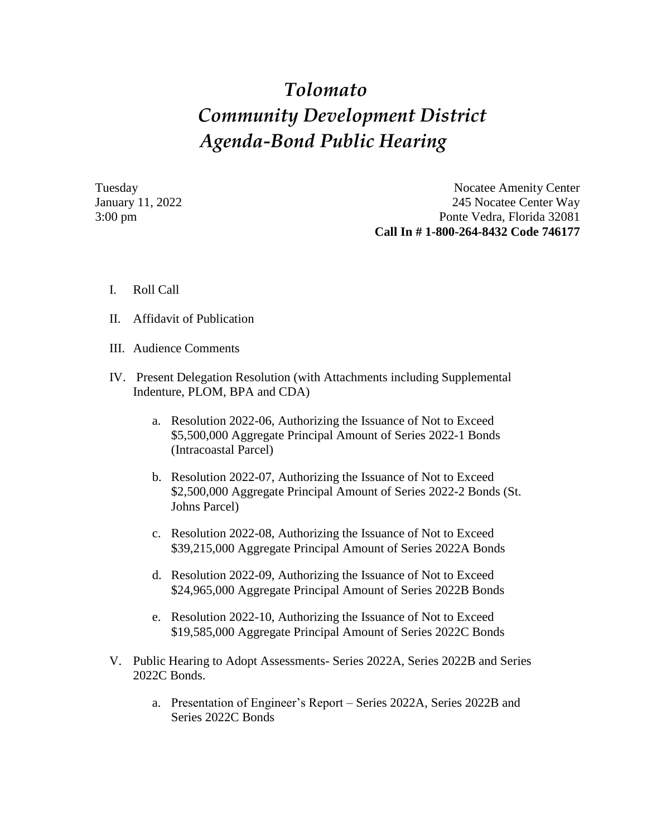## *Tolomato Community Development District Agenda-Bond Public Hearing*

Tuesday Nocatee Amenity Center January 11, 2022 245 Nocatee Center Way 3:00 pm Ponte Vedra, Florida 32081 **Call In # 1-800-264-8432 Code 746177**

- I. Roll Call
- II. Affidavit of Publication
- III. Audience Comments
- IV. Present Delegation Resolution (with Attachments including Supplemental Indenture, PLOM, BPA and CDA)
	- a. Resolution 2022-06, Authorizing the Issuance of Not to Exceed \$5,500,000 Aggregate Principal Amount of Series 2022-1 Bonds (Intracoastal Parcel)
	- b. Resolution 2022-07, Authorizing the Issuance of Not to Exceed \$2,500,000 Aggregate Principal Amount of Series 2022-2 Bonds (St. Johns Parcel)
	- c. Resolution 2022-08, Authorizing the Issuance of Not to Exceed \$39,215,000 Aggregate Principal Amount of Series 2022A Bonds
	- d. Resolution 2022-09, Authorizing the Issuance of Not to Exceed \$24,965,000 Aggregate Principal Amount of Series 2022B Bonds
	- e. Resolution 2022-10, Authorizing the Issuance of Not to Exceed \$19,585,000 Aggregate Principal Amount of Series 2022C Bonds
- V. Public Hearing to Adopt Assessments- Series 2022A, Series 2022B and Series 2022C Bonds.
	- a. Presentation of Engineer's Report Series 2022A, Series 2022B and Series 2022C Bonds